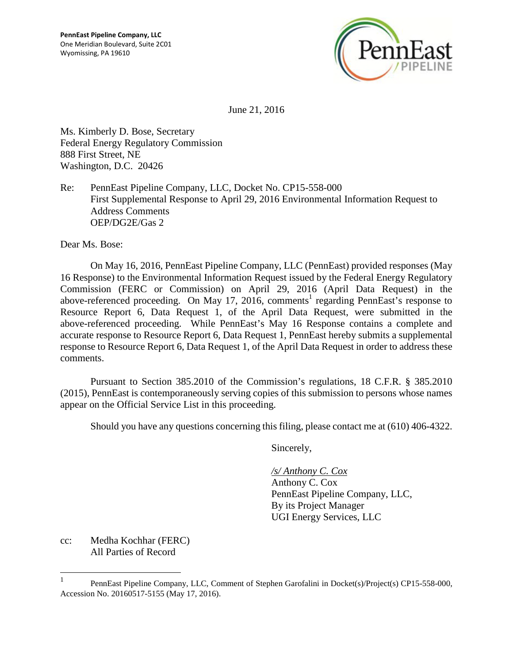

June 21, 2016

Ms. Kimberly D. Bose, Secretary Federal Energy Regulatory Commission 888 First Street, NE Washington, D.C. 20426

Re: PennEast Pipeline Company, LLC, Docket No. CP15-558-000 First Supplemental Response to April 29, 2016 Environmental Information Request to Address Comments OEP/DG2E/Gas 2

Dear Ms. Bose:

On May 16, 2016, PennEast Pipeline Company, LLC (PennEast) provided responses (May 16 Response) to the Environmental Information Request issued by the Federal Energy Regulatory Commission (FERC or Commission) on April 29, 2016 (April Data Request) in the above-referenced proceeding. On May 17, 2016, comments<sup>1</sup> regarding PennEast's response to Resource Report 6, Data Request 1, of the April Data Request, were submitted in the above-referenced proceeding. While PennEast's May 16 Response contains a complete and accurate response to Resource Report 6, Data Request 1, PennEast hereby submits a supplemental response to Resource Report 6, Data Request 1, of the April Data Request in order to address these comments.

Pursuant to Section 385.2010 of the Commission's regulations, 18 C.F.R. § 385.2010 (2015), PennEast is contemporaneously serving copies of this submission to persons whose names appear on the Official Service List in this proceeding.

Should you have any questions concerning this filing, please contact me at (610) 406-4322.

Sincerely,

*/s/ Anthony C. Cox* 

Anthony C. Cox PennEast Pipeline Company, LLC, By its Project Manager UGI Energy Services, LLC

cc: Medha Kochhar (FERC) All Parties of Record

1

PennEast Pipeline Company, LLC, Comment of Stephen Garofalini in Docket(s)/Project(s) CP15-558-000, Accession No. 20160517-5155 (May 17, 2016).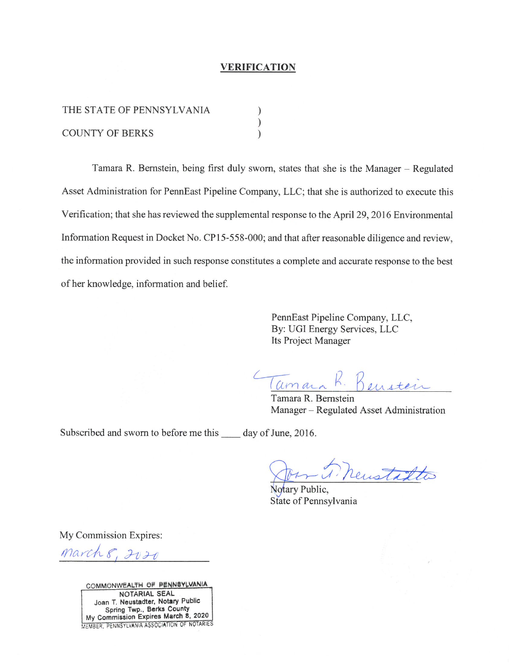#### **VERIFICATION**

| THE STATE OF PENNSYLVANIA |  |  |
|---------------------------|--|--|
|                           |  |  |
| <b>COUNTY OF BERKS</b>    |  |  |

Tamara R. Bernstein, being first duly sworn, states that she is the Manager – Regulated Asset Administration for PennEast Pipeline Company, LLC; that she is authorized to execute this Verification; that she has reviewed the supplemental response to the April 29, 2016 Environmental Information Request in Docket No. CP15-558-000; and that after reasonable diligence and review, the information provided in such response constitutes a complete and accurate response to the best of her knowledge, information and belief.

> PennEast Pipeline Company, LLC, By: UGI Energy Services, LLC Its Project Manager

Tamara R. Benstein

Tamara R. Bernstein Manager – Regulated Asset Administration

Subscribed and sworn to before me this \_\_\_\_\_\_ day of June, 2016.

on Theustaltes

Notary Public. State of Pennsylvania

My Commission Expires:

March 8, 2020

COMMONWEALTH OF PENNSYLVANIA NOTARIAL SEAL Joan T. Neustadter, Notary Public<br>Spring Twp., Berks County<br>My Commission Expires March 8, 2020<br>MEMBER, PENNSYLVANIA ASSOCIATION OF NOTARIES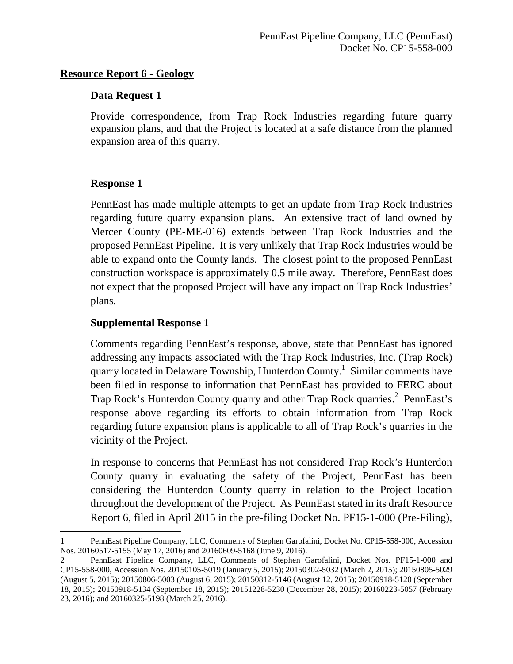# **Resource Report 6 - Geology**

### **Data Request 1**

Provide correspondence, from Trap Rock Industries regarding future quarry expansion plans, and that the Project is located at a safe distance from the planned expansion area of this quarry.

# **Response 1**

PennEast has made multiple attempts to get an update from Trap Rock Industries regarding future quarry expansion plans. An extensive tract of land owned by Mercer County (PE-ME-016) extends between Trap Rock Industries and the proposed PennEast Pipeline. It is very unlikely that Trap Rock Industries would be able to expand onto the County lands. The closest point to the proposed PennEast construction workspace is approximately 0.5 mile away. Therefore, PennEast does not expect that the proposed Project will have any impact on Trap Rock Industries' plans.

# **Supplemental Response 1**

Comments regarding PennEast's response, above, state that PennEast has ignored addressing any impacts associated with the Trap Rock Industries, Inc. (Trap Rock) quarry located in Delaware Township, Hunterdon County. $^1$  Similar comments have been filed in response to information that PennEast has provided to FERC about Trap Rock's Hunterdon County quarry and other Trap Rock quarries.<sup>2</sup> PennEast's response above regarding its efforts to obtain information from Trap Rock regarding future expansion plans is applicable to all of Trap Rock's quarries in the vicinity of the Project.

In response to concerns that PennEast has not considered Trap Rock's Hunterdon County quarry in evaluating the safety of the Project, PennEast has been considering the Hunterdon County quarry in relation to the Project location throughout the development of the Project. As PennEast stated in its draft Resource Report 6, filed in April 2015 in the pre-filing Docket No. PF15-1-000 (Pre-Filing),

<sup>1</sup> PennEast Pipeline Company, LLC, Comments of Stephen Garofalini, Docket No. CP15-558-000, Accession Nos. 20160517-5155 (May 17, 2016) and 20160609-5168 (June 9, 2016).

<sup>2</sup> PennEast Pipeline Company, LLC, Comments of Stephen Garofalini, Docket Nos. PF15-1-000 and CP15-558-000, Accession Nos. 20150105-5019 (January 5, 2015); 20150302-5032 (March 2, 2015); 20150805-5029 (August 5, 2015); 20150806-5003 (August 6, 2015); 20150812-5146 (August 12, 2015); 20150918-5120 (September 18, 2015); 20150918-5134 (September 18, 2015); 20151228-5230 (December 28, 2015); 20160223-5057 (February 23, 2016); and 20160325-5198 (March 25, 2016).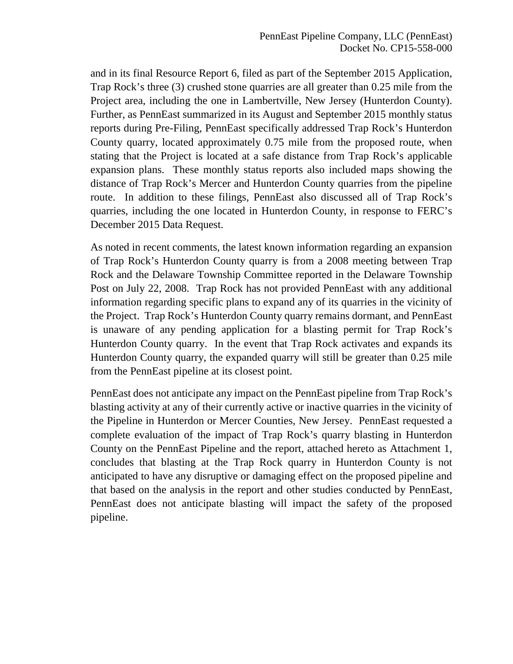and in its final Resource Report 6, filed as part of the September 2015 Application, Trap Rock's three (3) crushed stone quarries are all greater than 0.25 mile from the Project area, including the one in Lambertville, New Jersey (Hunterdon County). Further, as PennEast summarized in its August and September 2015 monthly status reports during Pre-Filing, PennEast specifically addressed Trap Rock's Hunterdon County quarry, located approximately 0.75 mile from the proposed route, when stating that the Project is located at a safe distance from Trap Rock's applicable expansion plans. These monthly status reports also included maps showing the distance of Trap Rock's Mercer and Hunterdon County quarries from the pipeline route. In addition to these filings, PennEast also discussed all of Trap Rock's quarries, including the one located in Hunterdon County, in response to FERC's December 2015 Data Request.

As noted in recent comments, the latest known information regarding an expansion of Trap Rock's Hunterdon County quarry is from a 2008 meeting between Trap Rock and the Delaware Township Committee reported in the Delaware Township Post on July 22, 2008. Trap Rock has not provided PennEast with any additional information regarding specific plans to expand any of its quarries in the vicinity of the Project. Trap Rock's Hunterdon County quarry remains dormant, and PennEast is unaware of any pending application for a blasting permit for Trap Rock's Hunterdon County quarry. In the event that Trap Rock activates and expands its Hunterdon County quarry, the expanded quarry will still be greater than 0.25 mile from the PennEast pipeline at its closest point.

PennEast does not anticipate any impact on the PennEast pipeline from Trap Rock's blasting activity at any of their currently active or inactive quarries in the vicinity of the Pipeline in Hunterdon or Mercer Counties, New Jersey. PennEast requested a complete evaluation of the impact of Trap Rock's quarry blasting in Hunterdon County on the PennEast Pipeline and the report, attached hereto as Attachment 1, concludes that blasting at the Trap Rock quarry in Hunterdon County is not anticipated to have any disruptive or damaging effect on the proposed pipeline and that based on the analysis in the report and other studies conducted by PennEast, PennEast does not anticipate blasting will impact the safety of the proposed pipeline.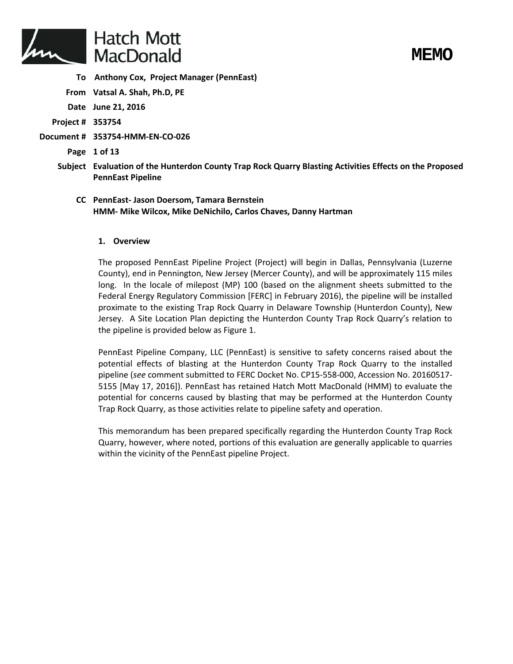

**To Anthony Cox, Project Manager (PennEast)** 

**From Vatsal A. Shah, Ph.D, PE**

**Date June 21, 2016**

**Project # 353754**

**Document # 353754-HMM-EN-CO-026**

**Page 1 of 13**

- **Subject Evaluation of the Hunterdon County Trap Rock Quarry Blasting Activities Effects on the Proposed PennEast Pipeline** 
	- **CC PennEast- Jason Doersom, Tamara Bernstein HMM- Mike Wilcox, Mike DeNichilo, Carlos Chaves, Danny Hartman**

#### **1. Overview**

The proposed PennEast Pipeline Project (Project) will begin in Dallas, Pennsylvania (Luzerne County), end in Pennington, New Jersey (Mercer County), and will be approximately 115 miles long. In the locale of milepost (MP) 100 (based on the alignment sheets submitted to the Federal Energy Regulatory Commission [FERC] in February 2016), the pipeline will be installed proximate to the existing Trap Rock Quarry in Delaware Township (Hunterdon County), New Jersey. A Site Location Plan depicting the Hunterdon County Trap Rock Quarry's relation to the pipeline is provided below as Figure 1.

PennEast Pipeline Company, LLC (PennEast) is sensitive to safety concerns raised about the potential effects of blasting at the Hunterdon County Trap Rock Quarry to the installed pipeline (*see* comment submitted to FERC Docket No. CP15-558-000, Accession No. 20160517- 5155 [May 17, 2016]). PennEast has retained Hatch Mott MacDonald (HMM) to evaluate the potential for concerns caused by blasting that may be performed at the Hunterdon County Trap Rock Quarry, as those activities relate to pipeline safety and operation.

This memorandum has been prepared specifically regarding the Hunterdon County Trap Rock Quarry, however, where noted, portions of this evaluation are generally applicable to quarries within the vicinity of the PennEast pipeline Project.

**MEMO**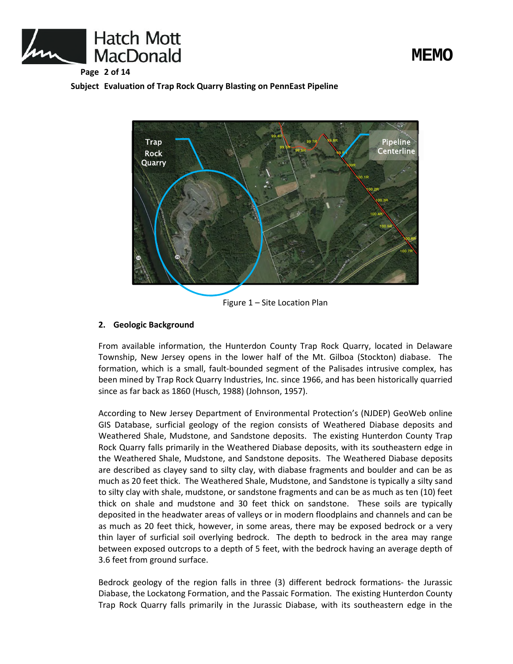





Figure 1 – Site Location Plan

### **2. Geologic Background**

From available information, the Hunterdon County Trap Rock Quarry, located in Delaware Township, New Jersey opens in the lower half of the Mt. Gilboa (Stockton) diabase. The formation, which is a small, fault-bounded segment of the Palisades intrusive complex, has been mined by Trap Rock Quarry Industries, Inc. since 1966, and has been historically quarried since as far back as 1860 (Husch, 1988) (Johnson, 1957).

According to New Jersey Department of Environmental Protection's (NJDEP) GeoWeb online GIS Database, surficial geology of the region consists of Weathered Diabase deposits and Weathered Shale, Mudstone, and Sandstone deposits. The existing Hunterdon County Trap Rock Quarry falls primarily in the Weathered Diabase deposits, with its southeastern edge in the Weathered Shale, Mudstone, and Sandstone deposits. The Weathered Diabase deposits are described as clayey sand to silty clay, with diabase fragments and boulder and can be as much as 20 feet thick. The Weathered Shale, Mudstone, and Sandstone is typically a silty sand to silty clay with shale, mudstone, or sandstone fragments and can be as much as ten (10) feet thick on shale and mudstone and 30 feet thick on sandstone. These soils are typically deposited in the headwater areas of valleys or in modern floodplains and channels and can be as much as 20 feet thick, however, in some areas, there may be exposed bedrock or a very thin layer of surficial soil overlying bedrock. The depth to bedrock in the area may range between exposed outcrops to a depth of 5 feet, with the bedrock having an average depth of 3.6 feet from ground surface.

Bedrock geology of the region falls in three (3) different bedrock formations- the Jurassic Diabase, the Lockatong Formation, and the Passaic Formation. The existing Hunterdon County Trap Rock Quarry falls primarily in the Jurassic Diabase, with its southeastern edge in the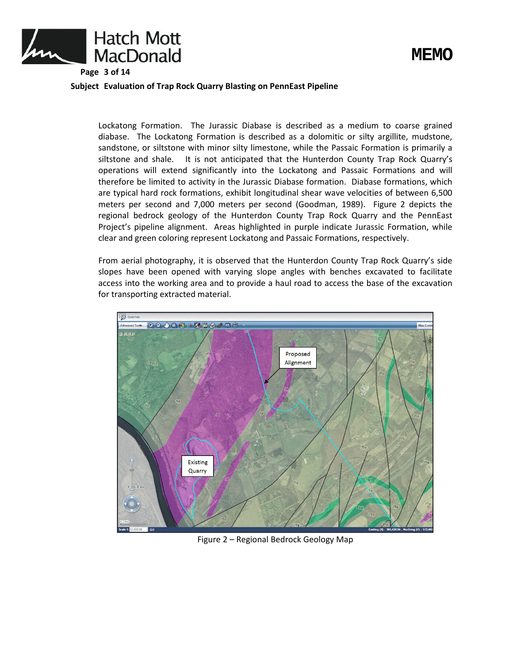



Lockatong Formation. The Jurassic Diabase is described as a medium to coarse grained diabase. The Lockatong Formation is described as a dolomitic or silty argillite, mudstone, sandstone, or siltstone with minor silty limestone, while the Passaic Formation is primarily a siltstone and shale. It is not anticipated that the Hunterdon County Trap Rock Quarry's operations will extend significantly into the Lockatong and Passaic Formations and will therefore be limited to activity in the Jurassic Diabase formation. Diabase formations, which are typical hard rock formations, exhibit longitudinal shear wave velocities of between 6,500 meters per second and 7,000 meters per second (Goodman, 1989). Figure 2 depicts the regional bedrock geology of the Hunterdon County Trap Rock Quarry and the PennEast Project's pipeline alignment. Areas highlighted in purple indicate Jurassic Formation, while clear and green coloring represent Lockatong and Passaic Formations, respectively.

From aerial photography, it is observed that the Hunterdon County Trap Rock Quarry's side slopes have been opened with varying slope angles with benches excavated to facilitate access into the working area and to provide a haul road to access the base of the excavation for transporting extracted material.



Figure 2 – Regional Bedrock Geology Map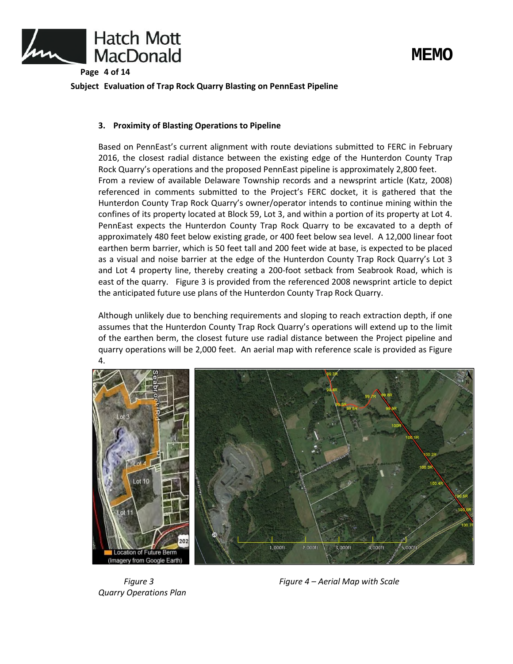



#### **3. Proximity of Blasting Operations to Pipeline**

Based on PennEast's current alignment with route deviations submitted to FERC in February 2016, the closest radial distance between the existing edge of the Hunterdon County Trap Rock Quarry's operations and the proposed PennEast pipeline is approximately 2,800 feet. From a review of available Delaware Township records and a newsprint article (Katz, 2008) referenced in comments submitted to the Project's FERC docket, it is gathered that the Hunterdon County Trap Rock Quarry's owner/operator intends to continue mining within the confines of its property located at Block 59, Lot 3, and within a portion of its property at Lot 4. PennEast expects the Hunterdon County Trap Rock Quarry to be excavated to a depth of approximately 480 feet below existing grade, or 400 feet below sea level. A 12,000 linear foot earthen berm barrier, which is 50 feet tall and 200 feet wide at base, is expected to be placed as a visual and noise barrier at the edge of the Hunterdon County Trap Rock Quarry's Lot 3 and Lot 4 property line, thereby creating a 200-foot setback from Seabrook Road, which is east of the quarry. Figure 3 is provided from the referenced 2008 newsprint article to depict the anticipated future use plans of the Hunterdon County Trap Rock Quarry.

Although unlikely due to benching requirements and sloping to reach extraction depth, if one assumes that the Hunterdon County Trap Rock Quarry's operations will extend up to the limit of the earthen berm, the closest future use radial distance between the Project pipeline and quarry operations will be 2,000 feet. An aerial map with reference scale is provided as Figure 4.



*Quarry Operations Plan* 

*Figure 3 Figure 4 – Aerial Map with Scale*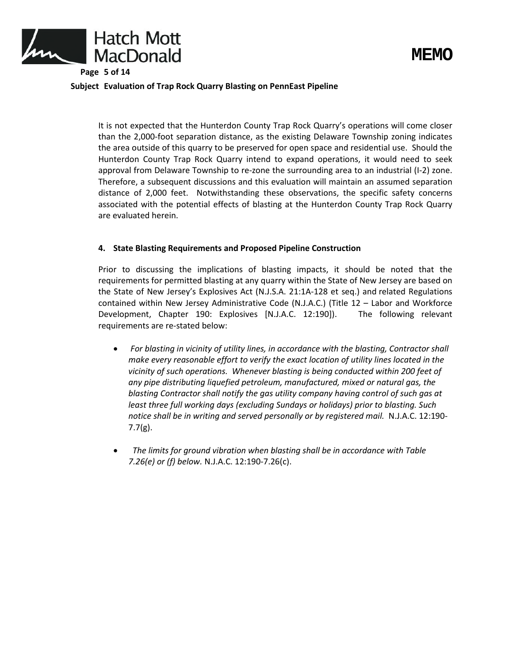



It is not expected that the Hunterdon County Trap Rock Quarry's operations will come closer than the 2,000-foot separation distance, as the existing Delaware Township zoning indicates the area outside of this quarry to be preserved for open space and residential use. Should the Hunterdon County Trap Rock Quarry intend to expand operations, it would need to seek approval from Delaware Township to re-zone the surrounding area to an industrial (I-2) zone. Therefore, a subsequent discussions and this evaluation will maintain an assumed separation distance of 2,000 feet. Notwithstanding these observations, the specific safety concerns associated with the potential effects of blasting at the Hunterdon County Trap Rock Quarry are evaluated herein.

#### **4. State Blasting Requirements and Proposed Pipeline Construction**

Prior to discussing the implications of blasting impacts, it should be noted that the requirements for permitted blasting at any quarry within the State of New Jersey are based on the State of New Jersey's Explosives Act (N.J.S.A. 21:1A-128 et seq.) and related Regulations contained within New Jersey Administrative Code (N.J.A.C.) (Title 12 – Labor and Workforce Development, Chapter 190: Explosives [N.J.A.C. 12:190]). The following relevant requirements are re-stated below:

- *For blasting in vicinity of utility lines, in accordance with the blasting, Contractor shall make every reasonable effort to verify the exact location of utility lines located in the vicinity of such operations. Whenever blasting is being conducted within 200 feet of any pipe distributing liquefied petroleum, manufactured, mixed or natural gas, the blasting Contractor shall notify the gas utility company having control of such gas at least three full working days (excluding Sundays or holidays) prior to blasting. Such notice shall be in writing and served personally or by registered mail.* N.J.A.C. 12:190- 7.7(g).
- *The limits for ground vibration when blasting shall be in accordance with Table 7.26(e) or (f) below.* N.J.A.C. 12:190-7.26(c).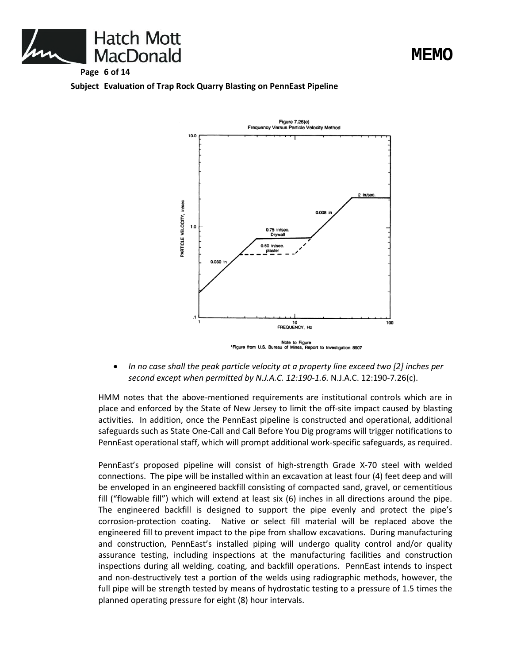**Hatch Mott MacDonald Page 6 of 14**

**MEMO** 





Note to Figure<br>au of Mines, Report to Investigation 8507 \*Figure from U.S. Bure

• *In no case shall the peak particle velocity at a property line exceed two [2] inches per second except when permitted by N.J.A.C. 12:190-1.6.* N.J.A.C. 12:190-7.26(c).

HMM notes that the above-mentioned requirements are institutional controls which are in place and enforced by the State of New Jersey to limit the off-site impact caused by blasting activities. In addition, once the PennEast pipeline is constructed and operational, additional safeguards such as State One-Call and Call Before You Dig programs will trigger notifications to PennEast operational staff, which will prompt additional work-specific safeguards, as required.

PennEast's proposed pipeline will consist of high-strength Grade X-70 steel with welded connections. The pipe will be installed within an excavation at least four (4) feet deep and will be enveloped in an engineered backfill consisting of compacted sand, gravel, or cementitious fill ("flowable fill") which will extend at least six (6) inches in all directions around the pipe. The engineered backfill is designed to support the pipe evenly and protect the pipe's corrosion-protection coating. Native or select fill material will be replaced above the engineered fill to prevent impact to the pipe from shallow excavations. During manufacturing and construction, PennEast's installed piping will undergo quality control and/or quality assurance testing, including inspections at the manufacturing facilities and construction inspections during all welding, coating, and backfill operations. PennEast intends to inspect and non-destructively test a portion of the welds using radiographic methods, however, the full pipe will be strength tested by means of hydrostatic testing to a pressure of 1.5 times the planned operating pressure for eight (8) hour intervals.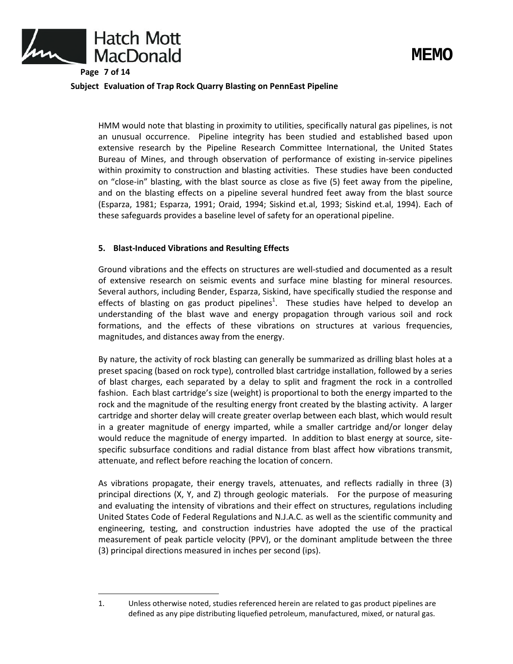



HMM would note that blasting in proximity to utilities, specifically natural gas pipelines, is not an unusual occurrence. Pipeline integrity has been studied and established based upon extensive research by the Pipeline Research Committee International, the United States Bureau of Mines, and through observation of performance of existing in-service pipelines within proximity to construction and blasting activities. These studies have been conducted on "close-in" blasting, with the blast source as close as five (5) feet away from the pipeline, and on the blasting effects on a pipeline several hundred feet away from the blast source (Esparza, 1981; Esparza, 1991; Oraid, 1994; Siskind et.al, 1993; Siskind et.al, 1994). Each of these safeguards provides a baseline level of safety for an operational pipeline.

#### **5. Blast-Induced Vibrations and Resulting Effects**

Ground vibrations and the effects on structures are well-studied and documented as a result of extensive research on seismic events and surface mine blasting for mineral resources. Several authors, including Bender, Esparza, Siskind, have specifically studied the response and effects of blasting on gas product pipelines<sup>1</sup>. These studies have helped to develop an understanding of the blast wave and energy propagation through various soil and rock formations, and the effects of these vibrations on structures at various frequencies, magnitudes, and distances away from the energy.

By nature, the activity of rock blasting can generally be summarized as drilling blast holes at a preset spacing (based on rock type), controlled blast cartridge installation, followed by a series of blast charges, each separated by a delay to split and fragment the rock in a controlled fashion. Each blast cartridge's size (weight) is proportional to both the energy imparted to the rock and the magnitude of the resulting energy front created by the blasting activity. A larger cartridge and shorter delay will create greater overlap between each blast, which would result in a greater magnitude of energy imparted, while a smaller cartridge and/or longer delay would reduce the magnitude of energy imparted. In addition to blast energy at source, sitespecific subsurface conditions and radial distance from blast affect how vibrations transmit, attenuate, and reflect before reaching the location of concern.

As vibrations propagate, their energy travels, attenuates, and reflects radially in three (3) principal directions (X, Y, and Z) through geologic materials. For the purpose of measuring and evaluating the intensity of vibrations and their effect on structures, regulations including United States Code of Federal Regulations and N.J.A.C. as well as the scientific community and engineering, testing, and construction industries have adopted the use of the practical measurement of peak particle velocity (PPV), or the dominant amplitude between the three (3) principal directions measured in inches per second (ips).

<sup>1.</sup> Unless otherwise noted, studies referenced herein are related to gas product pipelines are defined as any pipe distributing liquefied petroleum, manufactured, mixed, or natural gas.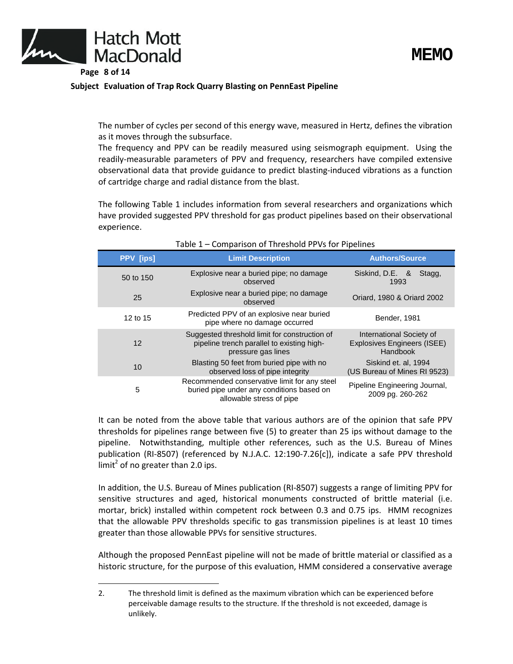

**MEMO** 

The number of cycles per second of this energy wave, measured in Hertz, defines the vibration as it moves through the subsurface.

The frequency and PPV can be readily measured using seismograph equipment. Using the readily-measurable parameters of PPV and frequency, researchers have compiled extensive observational data that provide guidance to predict blasting-induced vibrations as a function of cartridge charge and radial distance from the blast.

The following Table 1 includes information from several researchers and organizations which have provided suggested PPV threshold for gas product pipelines based on their observational experience.

| <b>PPV</b> [ips] | <b>Limit Description</b>                                                                                              | <b>Authors/Source</b>                                                      |  |
|------------------|-----------------------------------------------------------------------------------------------------------------------|----------------------------------------------------------------------------|--|
| 50 to 150        | Explosive near a buried pipe; no damage<br>observed                                                                   | Siskind, D.E. &<br>Stagg,<br>1993                                          |  |
| 25               | Explosive near a buried pipe; no damage<br>observed                                                                   | Oriard, 1980 & Oriard 2002                                                 |  |
| 12 to 15         | Predicted PPV of an explosive near buried<br>pipe where no damage occurred                                            | Bender, 1981                                                               |  |
| 12               | Suggested threshold limit for construction of<br>pipeline trench parallel to existing high-<br>pressure gas lines     | International Society of<br><b>Explosives Engineers (ISEE)</b><br>Handbook |  |
| 10               | Blasting 50 feet from buried pipe with no<br>observed loss of pipe integrity                                          | Siskind et. al, 1994<br>(US Bureau of Mines RI 9523)                       |  |
| 5                | Recommended conservative limit for any steel<br>buried pipe under any conditions based on<br>allowable stress of pipe | Pipeline Engineering Journal,<br>2009 pg. 260-262                          |  |

|  |  | Table 1 - Comparison of Threshold PPVs for Pipelines |  |  |
|--|--|------------------------------------------------------|--|--|
|--|--|------------------------------------------------------|--|--|

It can be noted from the above table that various authors are of the opinion that safe PPV thresholds for pipelines range between five (5) to greater than 25 ips without damage to the pipeline. Notwithstanding, multiple other references, such as the U.S. Bureau of Mines publication (RI-8507) (referenced by N.J.A.C. 12:190-7.26[c]), indicate a safe PPV threshold limit<sup>2</sup> of no greater than 2.0 ips.

In addition, the U.S. Bureau of Mines publication (RI-8507) suggests a range of limiting PPV for sensitive structures and aged, historical monuments constructed of brittle material (i.e. mortar, brick) installed within competent rock between 0.3 and 0.75 ips. HMM recognizes that the allowable PPV thresholds specific to gas transmission pipelines is at least 10 times greater than those allowable PPVs for sensitive structures.

Although the proposed PennEast pipeline will not be made of brittle material or classified as a historic structure, for the purpose of this evaluation, HMM considered a conservative average

<sup>2.</sup> The threshold limit is defined as the maximum vibration which can be experienced before perceivable damage results to the structure. If the threshold is not exceeded, damage is unlikely.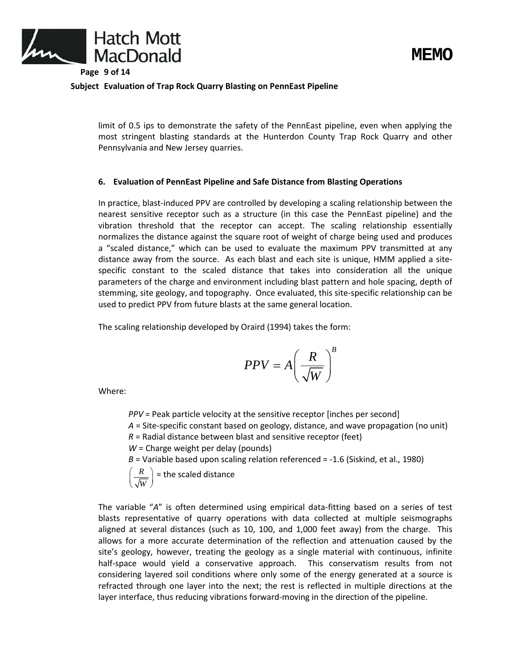



limit of 0.5 ips to demonstrate the safety of the PennEast pipeline, even when applying the most stringent blasting standards at the Hunterdon County Trap Rock Quarry and other Pennsylvania and New Jersey quarries.

#### **6. Evaluation of PennEast Pipeline and Safe Distance from Blasting Operations**

In practice, blast-induced PPV are controlled by developing a scaling relationship between the nearest sensitive receptor such as a structure (in this case the PennEast pipeline) and the vibration threshold that the receptor can accept. The scaling relationship essentially normalizes the distance against the square root of weight of charge being used and produces a "scaled distance," which can be used to evaluate the maximum PPV transmitted at any distance away from the source. As each blast and each site is unique, HMM applied a sitespecific constant to the scaled distance that takes into consideration all the unique parameters of the charge and environment including blast pattern and hole spacing, depth of stemming, site geology, and topography. Once evaluated, this site-specific relationship can be used to predict PPV from future blasts at the same general location.

The scaling relationship developed by Oraird (1994) takes the form:

$$
PPV = A \left(\frac{R}{\sqrt{W}}\right)^B
$$

Where:

*PPV* = Peak particle velocity at the sensitive receptor [inches per second] *A* = Site-specific constant based on geology, distance, and wave propagation (no unit) *R* = Radial distance between blast and sensitive receptor (feet) *W* = Charge weight per delay (pounds) *B* = Variable based upon scaling relation referenced = -1.6 (Siskind, et al., 1980) *R W*  $(R)$  $\left(\frac{\overline{W}}{W}\right)$ = the scaled distance

The variable "*A*" is often determined using empirical data-fitting based on a series of test blasts representative of quarry operations with data collected at multiple seismographs aligned at several distances (such as 10, 100, and 1,000 feet away) from the charge. This allows for a more accurate determination of the reflection and attenuation caused by the site's geology, however, treating the geology as a single material with continuous, infinite half-space would yield a conservative approach. This conservatism results from not considering layered soil conditions where only some of the energy generated at a source is refracted through one layer into the next; the rest is reflected in multiple directions at the layer interface, thus reducing vibrations forward-moving in the direction of the pipeline.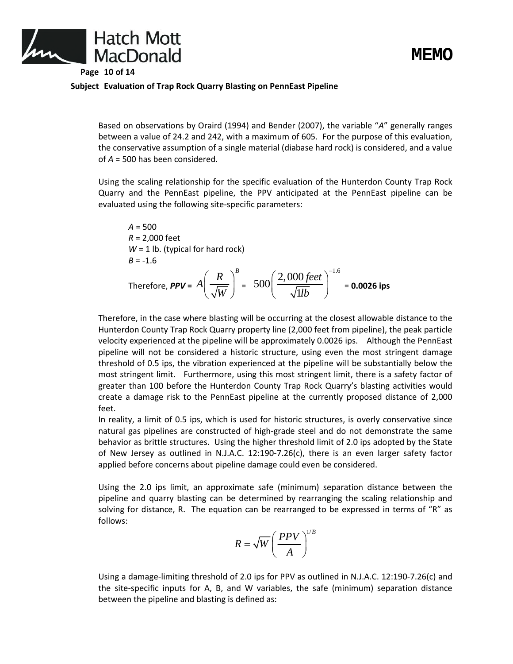

**MEMO** 

Based on observations by Oraird (1994) and Bender (2007), the variable "*A*" generally ranges between a value of 24.2 and 242, with a maximum of 605. For the purpose of this evaluation, the conservative assumption of a single material (diabase hard rock) is considered, and a value of *A* = 500 has been considered.

Using the scaling relationship for the specific evaluation of the Hunterdon County Trap Rock Quarry and the PennEast pipeline, the PPV anticipated at the PennEast pipeline can be evaluated using the following site-specific parameters:

*A* = 500 *R* = 2,000 feet  $W = 1$  lb. (typical for hard rock)  $B = -1.6$ Therefore, *PPV* **=**  $R \bigcap^B$ *A W*  $(R)$  $\sqrt{\overline{W}}$  $\setminus \sqrt{W}$ =  $500\left(\frac{2,000 \text{ feet}}{4.15}\right)^{-1.6}$  $\mathbf{1}$ *feet lb*  $\big(2,000 \text{ feet}\big)^{-1}$  $\frac{v}{\sqrt{111}}$  $\langle \quad \sqrt{1}lb \quad \rangle$ = **0.0026 ips**

Therefore, in the case where blasting will be occurring at the closest allowable distance to the Hunterdon County Trap Rock Quarry property line (2,000 feet from pipeline), the peak particle velocity experienced at the pipeline will be approximately 0.0026 ips. Although the PennEast pipeline will not be considered a historic structure, using even the most stringent damage threshold of 0.5 ips, the vibration experienced at the pipeline will be substantially below the most stringent limit. Furthermore, using this most stringent limit, there is a safety factor of greater than 100 before the Hunterdon County Trap Rock Quarry's blasting activities would create a damage risk to the PennEast pipeline at the currently proposed distance of 2,000 feet.

In reality, a limit of 0.5 ips, which is used for historic structures, is overly conservative since natural gas pipelines are constructed of high-grade steel and do not demonstrate the same behavior as brittle structures. Using the higher threshold limit of 2.0 ips adopted by the State of New Jersey as outlined in N.J.A.C. 12:190-7.26(c), there is an even larger safety factor applied before concerns about pipeline damage could even be considered.

Using the 2.0 ips limit, an approximate safe (minimum) separation distance between the pipeline and quarry blasting can be determined by rearranging the scaling relationship and solving for distance, R. The equation can be rearranged to be expressed in terms of "R" as follows:

$$
R = \sqrt{W} \left(\frac{PPV}{A}\right)^{1/B}
$$

Using a damage-limiting threshold of 2.0 ips for PPV as outlined in N.J.A.C. 12:190-7.26(c) and the site-specific inputs for A, B, and W variables, the safe (minimum) separation distance between the pipeline and blasting is defined as: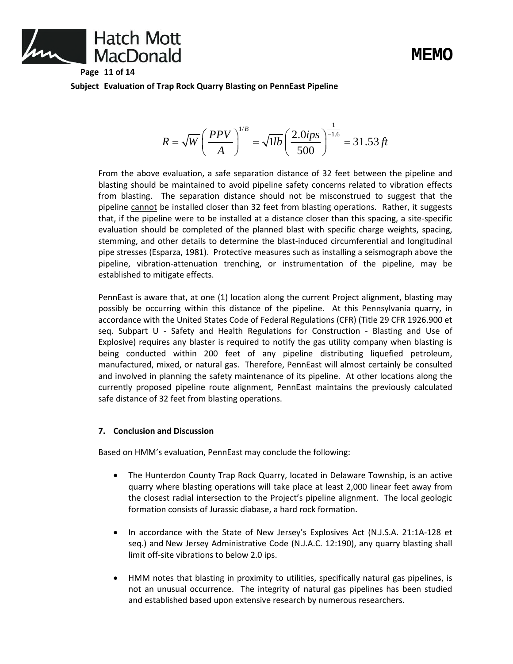



$$
R = \sqrt{W} \left( \frac{PPV}{A} \right)^{1/B} = \sqrt{1lb} \left( \frac{2.0ips}{500} \right)^{-1.6} = 31.53 ft
$$

From the above evaluation, a safe separation distance of 32 feet between the pipeline and blasting should be maintained to avoid pipeline safety concerns related to vibration effects from blasting. The separation distance should not be misconstrued to suggest that the pipeline cannot be installed closer than 32 feet from blasting operations. Rather, it suggests that, if the pipeline were to be installed at a distance closer than this spacing, a site-specific evaluation should be completed of the planned blast with specific charge weights, spacing, stemming, and other details to determine the blast-induced circumferential and longitudinal pipe stresses (Esparza, 1981). Protective measures such as installing a seismograph above the pipeline, vibration-attenuation trenching, or instrumentation of the pipeline, may be established to mitigate effects.

PennEast is aware that, at one (1) location along the current Project alignment, blasting may possibly be occurring within this distance of the pipeline. At this Pennsylvania quarry, in accordance with the United States Code of Federal Regulations (CFR) (Title 29 CFR 1926.900 et seq. Subpart U - Safety and Health Regulations for Construction - Blasting and Use of Explosive) requires any blaster is required to notify the gas utility company when blasting is being conducted within 200 feet of any pipeline distributing liquefied petroleum, manufactured, mixed, or natural gas. Therefore, PennEast will almost certainly be consulted and involved in planning the safety maintenance of its pipeline. At other locations along the currently proposed pipeline route alignment, PennEast maintains the previously calculated safe distance of 32 feet from blasting operations.

#### **7. Conclusion and Discussion**

Based on HMM's evaluation, PennEast may conclude the following:

- The Hunterdon County Trap Rock Quarry, located in Delaware Township, is an active quarry where blasting operations will take place at least 2,000 linear feet away from the closest radial intersection to the Project's pipeline alignment. The local geologic formation consists of Jurassic diabase, a hard rock formation.
- In accordance with the State of New Jersey's Explosives Act (N.J.S.A. 21:1A-128 et seq.) and New Jersey Administrative Code (N.J.A.C. 12:190), any quarry blasting shall limit off-site vibrations to below 2.0 ips.
- HMM notes that blasting in proximity to utilities, specifically natural gas pipelines, is not an unusual occurrence. The integrity of natural gas pipelines has been studied and established based upon extensive research by numerous researchers.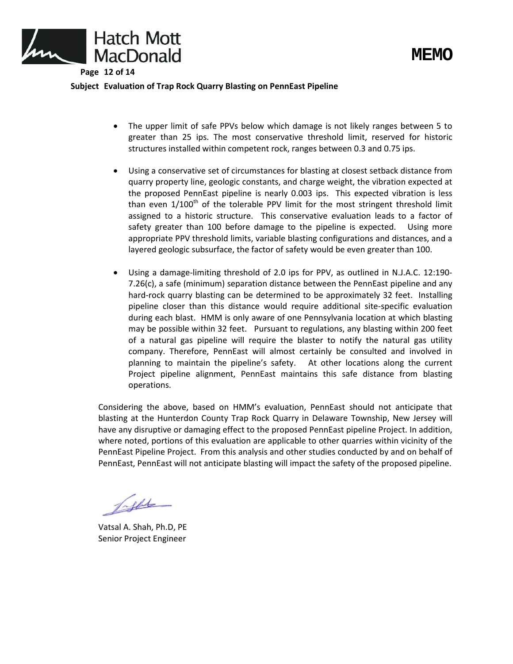



- The upper limit of safe PPVs below which damage is not likely ranges between 5 to greater than 25 ips. The most conservative threshold limit, reserved for historic structures installed within competent rock, ranges between 0.3 and 0.75 ips.
- Using a conservative set of circumstances for blasting at closest setback distance from quarry property line, geologic constants, and charge weight, the vibration expected at the proposed PennEast pipeline is nearly 0.003 ips. This expected vibration is less than even  $1/100<sup>th</sup>$  of the tolerable PPV limit for the most stringent threshold limit assigned to a historic structure. This conservative evaluation leads to a factor of safety greater than 100 before damage to the pipeline is expected. Using more appropriate PPV threshold limits, variable blasting configurations and distances, and a layered geologic subsurface, the factor of safety would be even greater than 100.
- Using a damage-limiting threshold of 2.0 ips for PPV, as outlined in N.J.A.C. 12:190- 7.26(c), a safe (minimum) separation distance between the PennEast pipeline and any hard-rock quarry blasting can be determined to be approximately 32 feet. Installing pipeline closer than this distance would require additional site-specific evaluation during each blast. HMM is only aware of one Pennsylvania location at which blasting may be possible within 32 feet. Pursuant to regulations, any blasting within 200 feet of a natural gas pipeline will require the blaster to notify the natural gas utility company. Therefore, PennEast will almost certainly be consulted and involved in planning to maintain the pipeline's safety. At other locations along the current Project pipeline alignment, PennEast maintains this safe distance from blasting operations.

Considering the above, based on HMM's evaluation, PennEast should not anticipate that blasting at the Hunterdon County Trap Rock Quarry in Delaware Township, New Jersey will have any disruptive or damaging effect to the proposed PennEast pipeline Project. In addition, where noted, portions of this evaluation are applicable to other quarries within vicinity of the PennEast Pipeline Project. From this analysis and other studies conducted by and on behalf of PennEast, PennEast will not anticipate blasting will impact the safety of the proposed pipeline.

Table

Vatsal A. Shah, Ph.D, PE Senior Project Engineer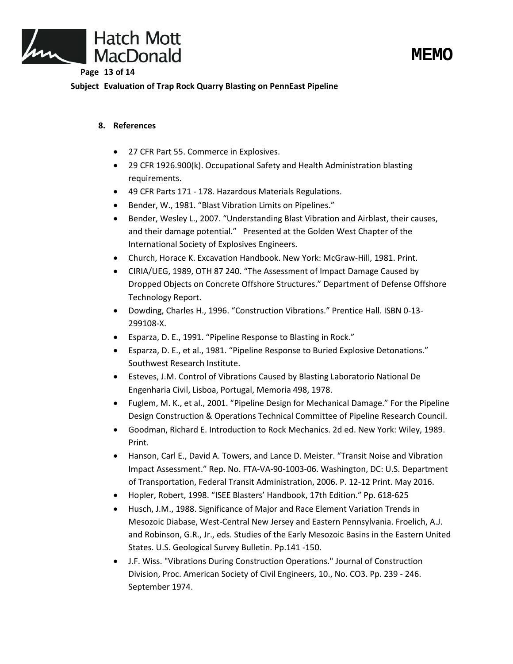



### **8. References**

- 27 CFR Part 55. Commerce in Explosives.
- 29 CFR 1926.900(k). Occupational Safety and Health Administration blasting requirements.
- 49 CFR Parts 171 178. Hazardous Materials Regulations.
- Bender, W., 1981. "Blast Vibration Limits on Pipelines."
- Bender, Wesley L., 2007. "Understanding Blast Vibration and Airblast, their causes, and their damage potential." Presented at the Golden West Chapter of the International Society of Explosives Engineers.
- Church, Horace K. Excavation Handbook. New York: McGraw-Hill, 1981. Print.
- CIRIA/UEG, 1989, OTH 87 240. "The Assessment of Impact Damage Caused by Dropped Objects on Concrete Offshore Structures." Department of Defense Offshore Technology Report.
- Dowding, Charles H., 1996. "Construction Vibrations." Prentice Hall. ISBN 0-13- 299108-X.
- Esparza, D. E., 1991. "Pipeline Response to Blasting in Rock."
- Esparza, D. E., et al., 1981. "Pipeline Response to Buried Explosive Detonations." Southwest Research Institute.
- Esteves, J.M. Control of Vibrations Caused by Blasting Laboratorio National De Engenharia Civil, Lisboa, Portugal, Memoria 498, 1978.
- Fuglem, M. K., et al., 2001. "Pipeline Design for Mechanical Damage." For the Pipeline Design Construction & Operations Technical Committee of Pipeline Research Council.
- Goodman, Richard E. Introduction to Rock Mechanics. 2d ed. New York: Wiley, 1989. Print.
- Hanson, Carl E., David A. Towers, and Lance D. Meister. "Transit Noise and Vibration Impact Assessment." Rep. No. FTA-VA-90-1003-06. Washington, DC: U.S. Department of Transportation, Federal Transit Administration, 2006. P. 12-12 Print. May 2016.
- Hopler, Robert, 1998. "ISEE Blasters' Handbook, 17th Edition." Pp. 618-625
- Husch, J.M., 1988. Significance of Major and Race Element Variation Trends in Mesozoic Diabase, West-Central New Jersey and Eastern Pennsylvania. Froelich, A.J. and Robinson, G.R., Jr., eds. Studies of the Early Mesozoic Basins in the Eastern United States. U.S. Geological Survey Bulletin. Pp.141 -150.
- J.F. Wiss. "Vibrations During Construction Operations." Journal of Construction Division, Proc. American Society of Civil Engineers, 10., No. CO3. Pp. 239 - 246. September 1974.